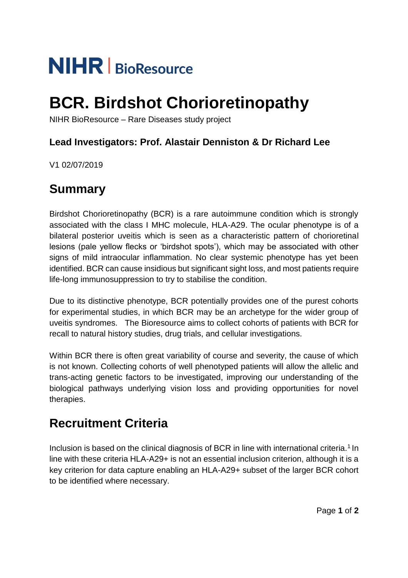# **NIHR** BioResource

## **BCR. Birdshot Chorioretinopathy**

NIHR BioResource – Rare Diseases study project

## **Lead Investigators: Prof. Alastair Denniston & Dr Richard Lee**

V1 02/07/2019

## **Summary**

Birdshot Chorioretinopathy (BCR) is a rare autoimmune condition which is strongly associated with the class I MHC molecule, HLA-A29. The ocular phenotype is of a bilateral posterior uveitis which is seen as a characteristic pattern of chorioretinal lesions (pale yellow flecks or 'birdshot spots'), which may be associated with other signs of mild intraocular inflammation. No clear systemic phenotype has yet been identified. BCR can cause insidious but significant sight loss, and most patients require life-long immunosuppression to try to stabilise the condition.

Due to its distinctive phenotype, BCR potentially provides one of the purest cohorts for experimental studies, in which BCR may be an archetype for the wider group of uveitis syndromes. The Bioresource aims to collect cohorts of patients with BCR for recall to natural history studies, drug trials, and cellular investigations.

Within BCR there is often great variability of course and severity, the cause of which is not known. Collecting cohorts of well phenotyped patients will allow the allelic and trans-acting genetic factors to be investigated, improving our understanding of the biological pathways underlying vision loss and providing opportunities for novel therapies.

## **Recruitment Criteria**

Inclusion is based on the clinical diagnosis of BCR in line with international criteria.<sup>1</sup> In line with these criteria HLA-A29+ is not an essential inclusion criterion, although it is a key criterion for data capture enabling an HLA-A29+ subset of the larger BCR cohort to be identified where necessary.